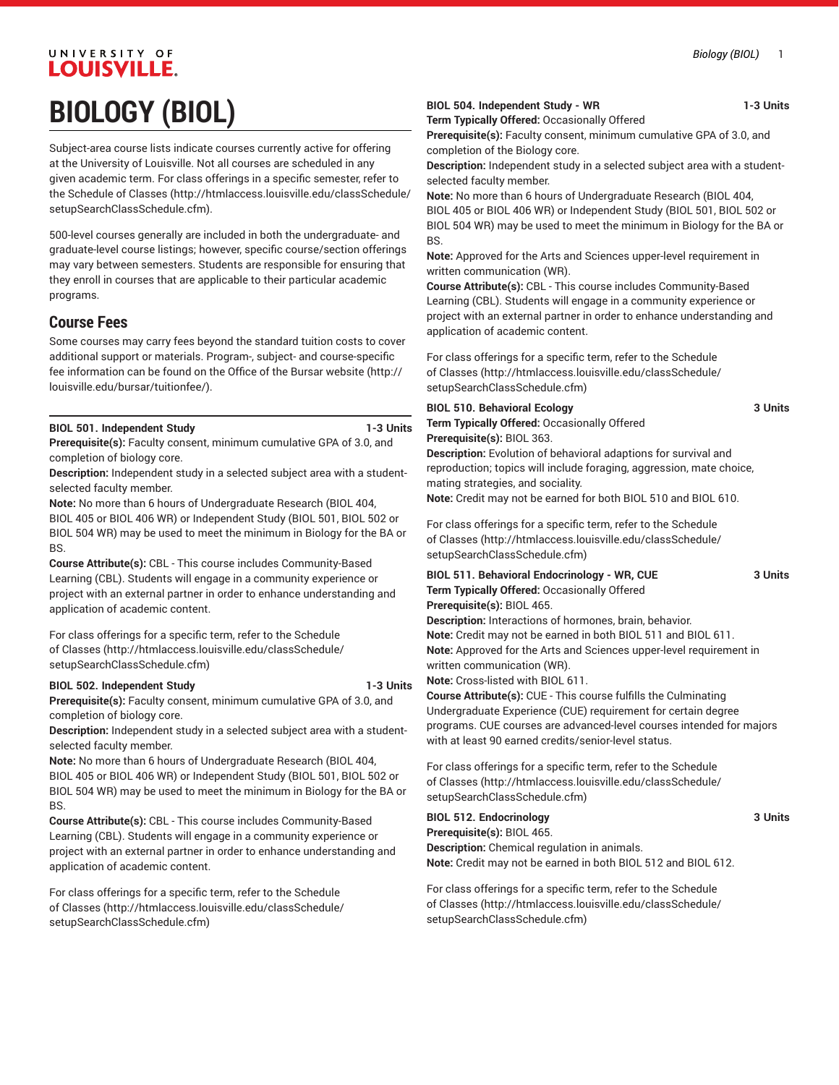# UNIVERSITY OF LOUISVILLE. **BIOLOGY (BIOL)**

Subject-area course lists indicate courses currently active for offering at the University of Louisville. Not all courses are scheduled in any given academic term. For class offerings in a specific semester, refer to the [Schedule of Classes](http://htmlaccess.louisville.edu/classSchedule/setupSearchClassSchedule.cfm) ([http://htmlaccess.louisville.edu/classSchedule/](http://htmlaccess.louisville.edu/classSchedule/setupSearchClassSchedule.cfm) [setupSearchClassSchedule.cfm\)](http://htmlaccess.louisville.edu/classSchedule/setupSearchClassSchedule.cfm).

500-level courses generally are included in both the undergraduate- and graduate-level course listings; however, specific course/section offerings may vary between semesters. Students are responsible for ensuring that they enroll in courses that are applicable to their particular academic programs.

### **Course Fees**

Some courses may carry fees beyond the standard tuition costs to cover additional support or materials. Program-, subject- and course-specific fee information can be found on the [Office of the Bursar website](http://louisville.edu/bursar/tuitionfee/) ([http://](http://louisville.edu/bursar/tuitionfee/) [louisville.edu/bursar/tuitionfee/](http://louisville.edu/bursar/tuitionfee/)).

#### **BIOL 501. Independent Study 1-3 Units**

**Prerequisite(s):** Faculty consent, minimum cumulative GPA of 3.0, and completion of biology core.

**Description:** Independent study in a selected subject area with a studentselected faculty member.

**Note:** No more than 6 hours of Undergraduate Research (BIOL 404, BIOL 405 or BIOL 406 WR) or Independent Study (BIOL 501, BIOL 502 or BIOL 504 WR) may be used to meet the minimum in Biology for the BA or BS.

**Course Attribute(s):** CBL - This course includes Community-Based Learning (CBL). Students will engage in a community experience or project with an external partner in order to enhance understanding and application of academic content.

For class offerings for a specific term, refer to the [Schedule](http://htmlaccess.louisville.edu/classSchedule/setupSearchClassSchedule.cfm) [of Classes \(http://htmlaccess.louisville.edu/classSchedule/](http://htmlaccess.louisville.edu/classSchedule/setupSearchClassSchedule.cfm) [setupSearchClassSchedule.cfm\)](http://htmlaccess.louisville.edu/classSchedule/setupSearchClassSchedule.cfm)

#### **BIOL 502. Independent Study 1-3 Units**

**Prerequisite(s):** Faculty consent, minimum cumulative GPA of 3.0, and completion of biology core.

**Description:** Independent study in a selected subject area with a studentselected faculty member.

**Note:** No more than 6 hours of Undergraduate Research (BIOL 404, BIOL 405 or BIOL 406 WR) or Independent Study (BIOL 501, BIOL 502 or BIOL 504 WR) may be used to meet the minimum in Biology for the BA or BS.

**Course Attribute(s):** CBL - This course includes Community-Based Learning (CBL). Students will engage in a community experience or project with an external partner in order to enhance understanding and application of academic content.

For class offerings for a specific term, refer to the [Schedule](http://htmlaccess.louisville.edu/classSchedule/setupSearchClassSchedule.cfm) [of Classes \(http://htmlaccess.louisville.edu/classSchedule/](http://htmlaccess.louisville.edu/classSchedule/setupSearchClassSchedule.cfm) [setupSearchClassSchedule.cfm\)](http://htmlaccess.louisville.edu/classSchedule/setupSearchClassSchedule.cfm)

#### **BIOL 504. Independent Study - WR 1-3 Units**

**Term Typically Offered:** Occasionally Offered

**Prerequisite(s):** Faculty consent, minimum cumulative GPA of 3.0, and completion of the Biology core.

**Description:** Independent study in a selected subject area with a studentselected faculty member.

**Note:** No more than 6 hours of Undergraduate Research (BIOL 404, BIOL 405 or BIOL 406 WR) or Independent Study (BIOL 501, BIOL 502 or BIOL 504 WR) may be used to meet the minimum in Biology for the BA or BS.

**Note:** Approved for the Arts and Sciences upper-level requirement in written communication (WR).

**Course Attribute(s):** CBL - This course includes Community-Based Learning (CBL). Students will engage in a community experience or project with an external partner in order to enhance understanding and application of academic content.

For class offerings for a specific term, refer to the [Schedule](http://htmlaccess.louisville.edu/classSchedule/setupSearchClassSchedule.cfm) [of Classes](http://htmlaccess.louisville.edu/classSchedule/setupSearchClassSchedule.cfm) ([http://htmlaccess.louisville.edu/classSchedule/](http://htmlaccess.louisville.edu/classSchedule/setupSearchClassSchedule.cfm) [setupSearchClassSchedule.cfm\)](http://htmlaccess.louisville.edu/classSchedule/setupSearchClassSchedule.cfm)

#### **BIOL 510. Behavioral Ecology 3 Units**

**Term Typically Offered:** Occasionally Offered **Prerequisite(s):** BIOL 363.

**Description:** Evolution of behavioral adaptions for survival and reproduction; topics will include foraging, aggression, mate choice, mating strategies, and sociality.

**Note:** Credit may not be earned for both BIOL 510 and BIOL 610.

For class offerings for a specific term, refer to the [Schedule](http://htmlaccess.louisville.edu/classSchedule/setupSearchClassSchedule.cfm) [of Classes](http://htmlaccess.louisville.edu/classSchedule/setupSearchClassSchedule.cfm) ([http://htmlaccess.louisville.edu/classSchedule/](http://htmlaccess.louisville.edu/classSchedule/setupSearchClassSchedule.cfm) [setupSearchClassSchedule.cfm\)](http://htmlaccess.louisville.edu/classSchedule/setupSearchClassSchedule.cfm)

**BIOL 511. Behavioral Endocrinology - WR, CUE 3 Units Term Typically Offered:** Occasionally Offered **Prerequisite(s):** BIOL 465.

**Description:** Interactions of hormones, brain, behavior. **Note:** Credit may not be earned in both BIOL 511 and BIOL 611. **Note:** Approved for the Arts and Sciences upper-level requirement in written communication (WR).

**Note:** Cross-listed with BIOL 611.

**Course Attribute(s):** CUE - This course fulfills the Culminating Undergraduate Experience (CUE) requirement for certain degree programs. CUE courses are advanced-level courses intended for majors with at least 90 earned credits/senior-level status.

For class offerings for a specific term, refer to the [Schedule](http://htmlaccess.louisville.edu/classSchedule/setupSearchClassSchedule.cfm) [of Classes](http://htmlaccess.louisville.edu/classSchedule/setupSearchClassSchedule.cfm) ([http://htmlaccess.louisville.edu/classSchedule/](http://htmlaccess.louisville.edu/classSchedule/setupSearchClassSchedule.cfm) [setupSearchClassSchedule.cfm\)](http://htmlaccess.louisville.edu/classSchedule/setupSearchClassSchedule.cfm)

**BIOL 512. Endocrinology 3 Units Prerequisite(s):** BIOL 465. **Description:** Chemical regulation in animals. **Note:** Credit may not be earned in both BIOL 512 and BIOL 612.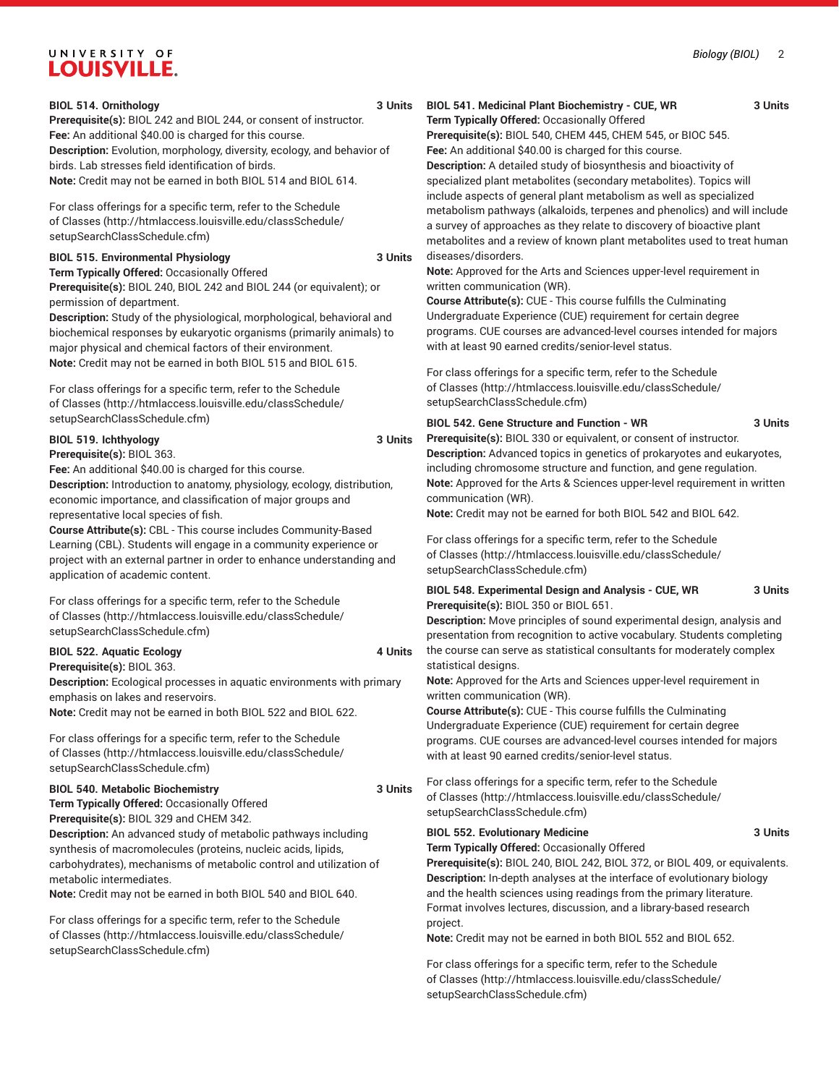#### **BIOL 514. Ornithology 3 Units**

**Prerequisite(s):** BIOL 242 and BIOL 244, or consent of instructor. **Fee:** An additional \$40.00 is charged for this course. **Description:** Evolution, morphology, diversity, ecology, and behavior of birds. Lab stresses field identification of birds. **Note:** Credit may not be earned in both BIOL 514 and BIOL 614.

For class offerings for a specific term, refer to the [Schedule](http://htmlaccess.louisville.edu/classSchedule/setupSearchClassSchedule.cfm) [of Classes \(http://htmlaccess.louisville.edu/classSchedule/](http://htmlaccess.louisville.edu/classSchedule/setupSearchClassSchedule.cfm) [setupSearchClassSchedule.cfm\)](http://htmlaccess.louisville.edu/classSchedule/setupSearchClassSchedule.cfm)

#### **BIOL 515. Environmental Physiology 3 Units**

**Term Typically Offered:** Occasionally Offered

**Prerequisite(s):** BIOL 240, BIOL 242 and BIOL 244 (or equivalent); or permission of department.

**Description:** Study of the physiological, morphological, behavioral and biochemical responses by eukaryotic organisms (primarily animals) to major physical and chemical factors of their environment. **Note:** Credit may not be earned in both BIOL 515 and BIOL 615.

For class offerings for a specific term, refer to the [Schedule](http://htmlaccess.louisville.edu/classSchedule/setupSearchClassSchedule.cfm) [of Classes \(http://htmlaccess.louisville.edu/classSchedule/](http://htmlaccess.louisville.edu/classSchedule/setupSearchClassSchedule.cfm) [setupSearchClassSchedule.cfm\)](http://htmlaccess.louisville.edu/classSchedule/setupSearchClassSchedule.cfm)

#### **BIOL 519. Ichthyology 3 Units**

**Prerequisite(s):** BIOL 363.

**Fee:** An additional \$40.00 is charged for this course. **Description:** Introduction to anatomy, physiology, ecology, distribution,

economic importance, and classification of major groups and representative local species of fish.

**Course Attribute(s):** CBL - This course includes Community-Based Learning (CBL). Students will engage in a community experience or project with an external partner in order to enhance understanding and application of academic content.

For class offerings for a specific term, refer to the [Schedule](http://htmlaccess.louisville.edu/classSchedule/setupSearchClassSchedule.cfm) [of Classes \(http://htmlaccess.louisville.edu/classSchedule/](http://htmlaccess.louisville.edu/classSchedule/setupSearchClassSchedule.cfm) [setupSearchClassSchedule.cfm\)](http://htmlaccess.louisville.edu/classSchedule/setupSearchClassSchedule.cfm)

#### **BIOL 522. Aquatic Ecology 4 Units**

**Prerequisite(s):** BIOL 363.

**Description:** Ecological processes in aquatic environments with primary emphasis on lakes and reservoirs.

**Note:** Credit may not be earned in both BIOL 522 and BIOL 622.

For class offerings for a specific term, refer to the [Schedule](http://htmlaccess.louisville.edu/classSchedule/setupSearchClassSchedule.cfm) [of Classes \(http://htmlaccess.louisville.edu/classSchedule/](http://htmlaccess.louisville.edu/classSchedule/setupSearchClassSchedule.cfm) [setupSearchClassSchedule.cfm\)](http://htmlaccess.louisville.edu/classSchedule/setupSearchClassSchedule.cfm)

### **BIOL 540. Metabolic Biochemistry 3 Units**

**Term Typically Offered:** Occasionally Offered **Prerequisite(s):** BIOL 329 and CHEM 342.

**Description:** An advanced study of metabolic pathways including synthesis of macromolecules (proteins, nucleic acids, lipids, carbohydrates), mechanisms of metabolic control and utilization of metabolic intermediates.

**Note:** Credit may not be earned in both BIOL 540 and BIOL 640.

For class offerings for a specific term, refer to the [Schedule](http://htmlaccess.louisville.edu/classSchedule/setupSearchClassSchedule.cfm) [of Classes \(http://htmlaccess.louisville.edu/classSchedule/](http://htmlaccess.louisville.edu/classSchedule/setupSearchClassSchedule.cfm) [setupSearchClassSchedule.cfm\)](http://htmlaccess.louisville.edu/classSchedule/setupSearchClassSchedule.cfm)

#### **BIOL 541. Medicinal Plant Biochemistry - CUE, WR 3 Units**

**Term Typically Offered:** Occasionally Offered **Prerequisite(s):** BIOL 540, CHEM 445, CHEM 545, or BIOC 545. **Fee:** An additional \$40.00 is charged for this course.

**Description:** A detailed study of biosynthesis and bioactivity of specialized plant metabolites (secondary metabolites). Topics will include aspects of general plant metabolism as well as specialized metabolism pathways (alkaloids, terpenes and phenolics) and will include a survey of approaches as they relate to discovery of bioactive plant metabolites and a review of known plant metabolites used to treat human diseases/disorders.

**Note:** Approved for the Arts and Sciences upper-level requirement in written communication (WR).

**Course Attribute(s):** CUE - This course fulfills the Culminating Undergraduate Experience (CUE) requirement for certain degree programs. CUE courses are advanced-level courses intended for majors with at least 90 earned credits/senior-level status.

For class offerings for a specific term, refer to the [Schedule](http://htmlaccess.louisville.edu/classSchedule/setupSearchClassSchedule.cfm) [of Classes](http://htmlaccess.louisville.edu/classSchedule/setupSearchClassSchedule.cfm) ([http://htmlaccess.louisville.edu/classSchedule/](http://htmlaccess.louisville.edu/classSchedule/setupSearchClassSchedule.cfm) [setupSearchClassSchedule.cfm\)](http://htmlaccess.louisville.edu/classSchedule/setupSearchClassSchedule.cfm)

#### **BIOL 542. Gene Structure and Function - WR 3 Units**

**Prerequisite(s):** BIOL 330 or equivalent, or consent of instructor. **Description:** Advanced topics in genetics of prokaryotes and eukaryotes, including chromosome structure and function, and gene regulation. **Note:** Approved for the Arts & Sciences upper-level requirement in written communication (WR).

**Note:** Credit may not be earned for both BIOL 542 and BIOL 642.

For class offerings for a specific term, refer to the [Schedule](http://htmlaccess.louisville.edu/classSchedule/setupSearchClassSchedule.cfm) [of Classes](http://htmlaccess.louisville.edu/classSchedule/setupSearchClassSchedule.cfm) ([http://htmlaccess.louisville.edu/classSchedule/](http://htmlaccess.louisville.edu/classSchedule/setupSearchClassSchedule.cfm) [setupSearchClassSchedule.cfm\)](http://htmlaccess.louisville.edu/classSchedule/setupSearchClassSchedule.cfm)

**BIOL 548. Experimental Design and Analysis - CUE, WR 3 Units Prerequisite(s):** BIOL 350 or BIOL 651.

**Description:** Move principles of sound experimental design, analysis and presentation from recognition to active vocabulary. Students completing the course can serve as statistical consultants for moderately complex statistical designs.

**Note:** Approved for the Arts and Sciences upper-level requirement in written communication (WR).

**Course Attribute(s):** CUE - This course fulfills the Culminating Undergraduate Experience (CUE) requirement for certain degree programs. CUE courses are advanced-level courses intended for majors with at least 90 earned credits/senior-level status.

For class offerings for a specific term, refer to the [Schedule](http://htmlaccess.louisville.edu/classSchedule/setupSearchClassSchedule.cfm) [of Classes](http://htmlaccess.louisville.edu/classSchedule/setupSearchClassSchedule.cfm) ([http://htmlaccess.louisville.edu/classSchedule/](http://htmlaccess.louisville.edu/classSchedule/setupSearchClassSchedule.cfm) [setupSearchClassSchedule.cfm\)](http://htmlaccess.louisville.edu/classSchedule/setupSearchClassSchedule.cfm)

### **BIOL 552. Evolutionary Medicine 3 Units**

**Term Typically Offered:** Occasionally Offered

**Prerequisite(s):** BIOL 240, BIOL 242, BIOL 372, or BIOL 409, or equivalents. **Description:** In-depth analyses at the interface of evolutionary biology and the health sciences using readings from the primary literature. Format involves lectures, discussion, and a library-based research project.

**Note:** Credit may not be earned in both BIOL 552 and BIOL 652.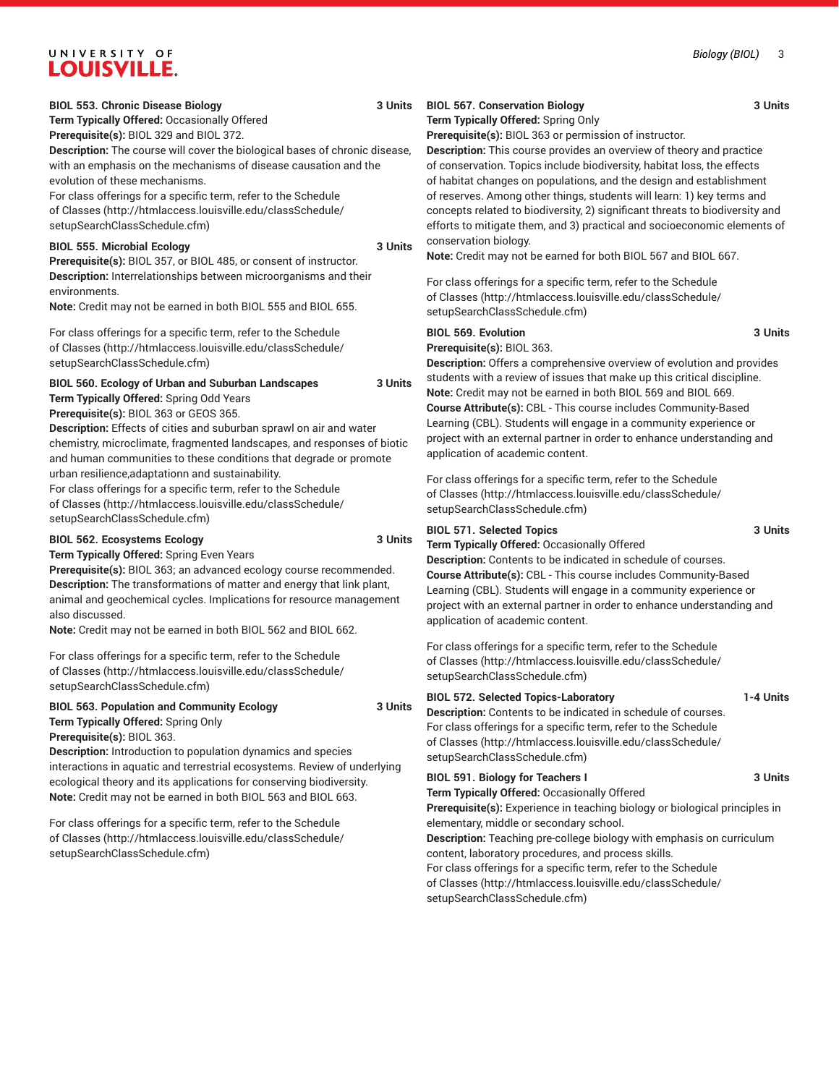**Term Typically Offered:** Occasionally Offered **Prerequisite(s):** BIOL 329 and BIOL 372.

**Description:** The course will cover the biological bases of chronic disease, with an emphasis on the mechanisms of disease causation and the evolution of these mechanisms.

For class offerings for a specific term, refer to the [Schedule](http://htmlaccess.louisville.edu/classSchedule/setupSearchClassSchedule.cfm) [of Classes \(http://htmlaccess.louisville.edu/classSchedule/](http://htmlaccess.louisville.edu/classSchedule/setupSearchClassSchedule.cfm) [setupSearchClassSchedule.cfm\)](http://htmlaccess.louisville.edu/classSchedule/setupSearchClassSchedule.cfm)

#### **BIOL 555. Microbial Ecology 3 Units**

**Prerequisite(s):** BIOL 357, or BIOL 485, or consent of instructor. **Description:** Interrelationships between microorganisms and their environments.

**Note:** Credit may not be earned in both BIOL 555 and BIOL 655.

For class offerings for a specific term, refer to the [Schedule](http://htmlaccess.louisville.edu/classSchedule/setupSearchClassSchedule.cfm) [of Classes \(http://htmlaccess.louisville.edu/classSchedule/](http://htmlaccess.louisville.edu/classSchedule/setupSearchClassSchedule.cfm) [setupSearchClassSchedule.cfm\)](http://htmlaccess.louisville.edu/classSchedule/setupSearchClassSchedule.cfm)

#### **BIOL 560. Ecology of Urban and Suburban Landscapes 3 Units Term Typically Offered:** Spring Odd Years

**Prerequisite(s):** BIOL 363 or GEOS 365.

**Description:** Effects of cities and suburban sprawl on air and water chemistry, microclimate, fragmented landscapes, and responses of biotic and human communities to these conditions that degrade or promote urban resilience,adaptationn and sustainability.

For class offerings for a specific term, refer to the [Schedule](http://htmlaccess.louisville.edu/classSchedule/setupSearchClassSchedule.cfm) [of Classes \(http://htmlaccess.louisville.edu/classSchedule/](http://htmlaccess.louisville.edu/classSchedule/setupSearchClassSchedule.cfm) [setupSearchClassSchedule.cfm\)](http://htmlaccess.louisville.edu/classSchedule/setupSearchClassSchedule.cfm)

#### **BIOL 562. Ecosystems Ecology 3 Units**

**Term Typically Offered:** Spring Even Years **Prerequisite(s):** BIOL 363; an advanced ecology course recommended. **Description:** The transformations of matter and energy that link plant, animal and geochemical cycles. Implications for resource management also discussed.

**Note:** Credit may not be earned in both BIOL 562 and BIOL 662.

For class offerings for a specific term, refer to the [Schedule](http://htmlaccess.louisville.edu/classSchedule/setupSearchClassSchedule.cfm) [of Classes \(http://htmlaccess.louisville.edu/classSchedule/](http://htmlaccess.louisville.edu/classSchedule/setupSearchClassSchedule.cfm) [setupSearchClassSchedule.cfm\)](http://htmlaccess.louisville.edu/classSchedule/setupSearchClassSchedule.cfm)

#### **BIOL 563. Population and Community Ecology 3 Units Term Typically Offered:** Spring Only **Prerequisite(s):** BIOL 363.

**Description:** Introduction to population dynamics and species interactions in aquatic and terrestrial ecosystems. Review of underlying ecological theory and its applications for conserving biodiversity. **Note:** Credit may not be earned in both BIOL 563 and BIOL 663.

For class offerings for a specific term, refer to the [Schedule](http://htmlaccess.louisville.edu/classSchedule/setupSearchClassSchedule.cfm) [of Classes \(http://htmlaccess.louisville.edu/classSchedule/](http://htmlaccess.louisville.edu/classSchedule/setupSearchClassSchedule.cfm) [setupSearchClassSchedule.cfm\)](http://htmlaccess.louisville.edu/classSchedule/setupSearchClassSchedule.cfm)

## **BIOL 567. Conservation Biology 3 Units**

**Term Typically Offered:** Spring Only

**Prerequisite(s):** BIOL 363 or permission of instructor.

**Description:** This course provides an overview of theory and practice of conservation. Topics include biodiversity, habitat loss, the effects of habitat changes on populations, and the design and establishment of reserves. Among other things, students will learn: 1) key terms and concepts related to biodiversity, 2) significant threats to biodiversity and efforts to mitigate them, and 3) practical and socioeconomic elements of conservation biology.

**Note:** Credit may not be earned for both BIOL 567 and BIOL 667.

For class offerings for a specific term, refer to the [Schedule](http://htmlaccess.louisville.edu/classSchedule/setupSearchClassSchedule.cfm) [of Classes](http://htmlaccess.louisville.edu/classSchedule/setupSearchClassSchedule.cfm) ([http://htmlaccess.louisville.edu/classSchedule/](http://htmlaccess.louisville.edu/classSchedule/setupSearchClassSchedule.cfm) [setupSearchClassSchedule.cfm\)](http://htmlaccess.louisville.edu/classSchedule/setupSearchClassSchedule.cfm)

#### **BIOL 569. Evolution 3 Units Prerequisite(s):** BIOL 363.

**Description:** Offers a comprehensive overview of evolution and provides students with a review of issues that make up this critical discipline. **Note:** Credit may not be earned in both BIOL 569 and BIOL 669. **Course Attribute(s):** CBL - This course includes Community-Based Learning (CBL). Students will engage in a community experience or project with an external partner in order to enhance understanding and application of academic content.

For class offerings for a specific term, refer to the [Schedule](http://htmlaccess.louisville.edu/classSchedule/setupSearchClassSchedule.cfm) [of Classes](http://htmlaccess.louisville.edu/classSchedule/setupSearchClassSchedule.cfm) ([http://htmlaccess.louisville.edu/classSchedule/](http://htmlaccess.louisville.edu/classSchedule/setupSearchClassSchedule.cfm) [setupSearchClassSchedule.cfm\)](http://htmlaccess.louisville.edu/classSchedule/setupSearchClassSchedule.cfm)

#### **BIOL 571. Selected Topics 3 Units**

**Term Typically Offered:** Occasionally Offered

**Description:** Contents to be indicated in schedule of courses. **Course Attribute(s):** CBL - This course includes Community-Based Learning (CBL). Students will engage in a community experience or project with an external partner in order to enhance understanding and application of academic content.

For class offerings for a specific term, refer to the [Schedule](http://htmlaccess.louisville.edu/classSchedule/setupSearchClassSchedule.cfm) [of Classes](http://htmlaccess.louisville.edu/classSchedule/setupSearchClassSchedule.cfm) ([http://htmlaccess.louisville.edu/classSchedule/](http://htmlaccess.louisville.edu/classSchedule/setupSearchClassSchedule.cfm) [setupSearchClassSchedule.cfm\)](http://htmlaccess.louisville.edu/classSchedule/setupSearchClassSchedule.cfm)

#### **BIOL 572. Selected Topics-Laboratory 1-4 Units**

**Description:** Contents to be indicated in schedule of courses. For class offerings for a specific term, refer to the [Schedule](http://htmlaccess.louisville.edu/classSchedule/setupSearchClassSchedule.cfm) [of Classes](http://htmlaccess.louisville.edu/classSchedule/setupSearchClassSchedule.cfm) ([http://htmlaccess.louisville.edu/classSchedule/](http://htmlaccess.louisville.edu/classSchedule/setupSearchClassSchedule.cfm) [setupSearchClassSchedule.cfm\)](http://htmlaccess.louisville.edu/classSchedule/setupSearchClassSchedule.cfm)

## **BIOL 591. Biology for Teachers I 3 Units**

**Term Typically Offered:** Occasionally Offered

**Prerequisite(s):** Experience in teaching biology or biological principles in elementary, middle or secondary school.

**Description:** Teaching pre-college biology with emphasis on curriculum content, laboratory procedures, and process skills.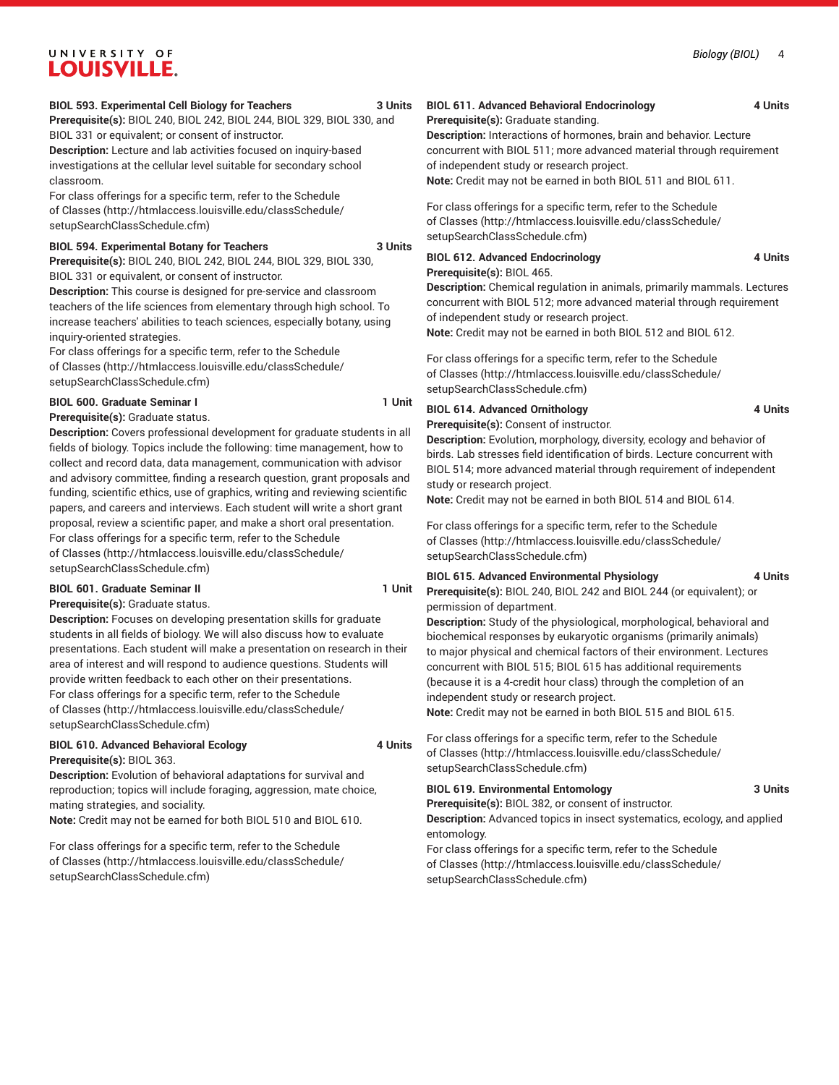#### *Biology (BIOL)* 4

## UNIVERSITY OF **LOUISVILLE.**

#### **BIOL 593. Experimental Cell Biology for Teachers 3 Units**

**Prerequisite(s):** BIOL 240, BIOL 242, BIOL 244, BIOL 329, BIOL 330, and BIOL 331 or equivalent; or consent of instructor.

**Description:** Lecture and lab activities focused on inquiry-based investigations at the cellular level suitable for secondary school classroom.

For class offerings for a specific term, refer to the [Schedule](http://htmlaccess.louisville.edu/classSchedule/setupSearchClassSchedule.cfm) [of Classes \(http://htmlaccess.louisville.edu/classSchedule/](http://htmlaccess.louisville.edu/classSchedule/setupSearchClassSchedule.cfm) [setupSearchClassSchedule.cfm\)](http://htmlaccess.louisville.edu/classSchedule/setupSearchClassSchedule.cfm)

#### **BIOL 594. Experimental Botany for Teachers 3 Units**

**Prerequisite(s):** BIOL 240, BIOL 242, BIOL 244, BIOL 329, BIOL 330, BIOL 331 or equivalent, or consent of instructor.

**Description:** This course is designed for pre-service and classroom teachers of the life sciences from elementary through high school. To increase teachers' abilities to teach sciences, especially botany, using inquiry-oriented strategies.

For class offerings for a specific term, refer to the [Schedule](http://htmlaccess.louisville.edu/classSchedule/setupSearchClassSchedule.cfm) [of Classes \(http://htmlaccess.louisville.edu/classSchedule/](http://htmlaccess.louisville.edu/classSchedule/setupSearchClassSchedule.cfm) [setupSearchClassSchedule.cfm\)](http://htmlaccess.louisville.edu/classSchedule/setupSearchClassSchedule.cfm)

**BIOL 600. Graduate Seminar I 1 Unit** 

**Prerequisite(s):** Graduate status.

**Description:** Covers professional development for graduate students in all fields of biology. Topics include the following: time management, how to collect and record data, data management, communication with advisor and advisory committee, finding a research question, grant proposals and funding, scientific ethics, use of graphics, writing and reviewing scientific papers, and careers and interviews. Each student will write a short grant proposal, review a scientific paper, and make a short oral presentation. For class offerings for a specific term, refer to the [Schedule](http://htmlaccess.louisville.edu/classSchedule/setupSearchClassSchedule.cfm) [of Classes \(http://htmlaccess.louisville.edu/classSchedule/](http://htmlaccess.louisville.edu/classSchedule/setupSearchClassSchedule.cfm) [setupSearchClassSchedule.cfm\)](http://htmlaccess.louisville.edu/classSchedule/setupSearchClassSchedule.cfm)

#### **BIOL 601. Graduate Seminar II 1 Unit Prerequisite(s):** Graduate status.

**Description:** Focuses on developing presentation skills for graduate students in all fields of biology. We will also discuss how to evaluate presentations. Each student will make a presentation on research in their area of interest and will respond to audience questions. Students will provide written feedback to each other on their presentations. For class offerings for a specific term, refer to the [Schedule](http://htmlaccess.louisville.edu/classSchedule/setupSearchClassSchedule.cfm) [of Classes \(http://htmlaccess.louisville.edu/classSchedule/](http://htmlaccess.louisville.edu/classSchedule/setupSearchClassSchedule.cfm) [setupSearchClassSchedule.cfm\)](http://htmlaccess.louisville.edu/classSchedule/setupSearchClassSchedule.cfm)

#### **BIOL 610. Advanced Behavioral Ecology 4 Units Prerequisite(s):** BIOL 363.

**Description:** Evolution of behavioral adaptations for survival and reproduction; topics will include foraging, aggression, mate choice, mating strategies, and sociality.

**Note:** Credit may not be earned for both BIOL 510 and BIOL 610.

For class offerings for a specific term, refer to the [Schedule](http://htmlaccess.louisville.edu/classSchedule/setupSearchClassSchedule.cfm) [of Classes \(http://htmlaccess.louisville.edu/classSchedule/](http://htmlaccess.louisville.edu/classSchedule/setupSearchClassSchedule.cfm) [setupSearchClassSchedule.cfm\)](http://htmlaccess.louisville.edu/classSchedule/setupSearchClassSchedule.cfm)

#### **BIOL 611. Advanced Behavioral Endocrinology 4 Units**

**Prerequisite(s):** Graduate standing.

**Description:** Interactions of hormones, brain and behavior. Lecture concurrent with BIOL 511; more advanced material through requirement of independent study or research project.

**Note:** Credit may not be earned in both BIOL 511 and BIOL 611.

For class offerings for a specific term, refer to the [Schedule](http://htmlaccess.louisville.edu/classSchedule/setupSearchClassSchedule.cfm) [of Classes](http://htmlaccess.louisville.edu/classSchedule/setupSearchClassSchedule.cfm) ([http://htmlaccess.louisville.edu/classSchedule/](http://htmlaccess.louisville.edu/classSchedule/setupSearchClassSchedule.cfm) [setupSearchClassSchedule.cfm\)](http://htmlaccess.louisville.edu/classSchedule/setupSearchClassSchedule.cfm)

### **BIOL 612. Advanced Endocrinology 4 Units**

**Prerequisite(s):** BIOL 465.

**Description:** Chemical regulation in animals, primarily mammals. Lectures concurrent with BIOL 512; more advanced material through requirement of independent study or research project.

**Note:** Credit may not be earned in both BIOL 512 and BIOL 612.

For class offerings for a specific term, refer to the [Schedule](http://htmlaccess.louisville.edu/classSchedule/setupSearchClassSchedule.cfm) [of Classes](http://htmlaccess.louisville.edu/classSchedule/setupSearchClassSchedule.cfm) ([http://htmlaccess.louisville.edu/classSchedule/](http://htmlaccess.louisville.edu/classSchedule/setupSearchClassSchedule.cfm) [setupSearchClassSchedule.cfm\)](http://htmlaccess.louisville.edu/classSchedule/setupSearchClassSchedule.cfm)

### **BIOL 614. Advanced Ornithology 4 Units**

**Prerequisite(s):** Consent of instructor.

**Description:** Evolution, morphology, diversity, ecology and behavior of birds. Lab stresses field identification of birds. Lecture concurrent with BIOL 514; more advanced material through requirement of independent study or research project.

**Note:** Credit may not be earned in both BIOL 514 and BIOL 614.

For class offerings for a specific term, refer to the [Schedule](http://htmlaccess.louisville.edu/classSchedule/setupSearchClassSchedule.cfm) [of Classes](http://htmlaccess.louisville.edu/classSchedule/setupSearchClassSchedule.cfm) ([http://htmlaccess.louisville.edu/classSchedule/](http://htmlaccess.louisville.edu/classSchedule/setupSearchClassSchedule.cfm) [setupSearchClassSchedule.cfm\)](http://htmlaccess.louisville.edu/classSchedule/setupSearchClassSchedule.cfm)

#### **BIOL 615. Advanced Environmental Physiology 4 Units**

**Prerequisite(s):** BIOL 240, BIOL 242 and BIOL 244 (or equivalent); or permission of department.

**Description:** Study of the physiological, morphological, behavioral and biochemical responses by eukaryotic organisms (primarily animals) to major physical and chemical factors of their environment. Lectures concurrent with BIOL 515; BIOL 615 has additional requirements (because it is a 4-credit hour class) through the completion of an independent study or research project.

**Note:** Credit may not be earned in both BIOL 515 and BIOL 615.

For class offerings for a specific term, refer to the [Schedule](http://htmlaccess.louisville.edu/classSchedule/setupSearchClassSchedule.cfm) [of Classes](http://htmlaccess.louisville.edu/classSchedule/setupSearchClassSchedule.cfm) ([http://htmlaccess.louisville.edu/classSchedule/](http://htmlaccess.louisville.edu/classSchedule/setupSearchClassSchedule.cfm) [setupSearchClassSchedule.cfm\)](http://htmlaccess.louisville.edu/classSchedule/setupSearchClassSchedule.cfm)

#### **BIOL 619. Environmental Entomology 3 Units**

**Prerequisite(s):** BIOL 382, or consent of instructor.

**Description:** Advanced topics in insect systematics, ecology, and applied entomology.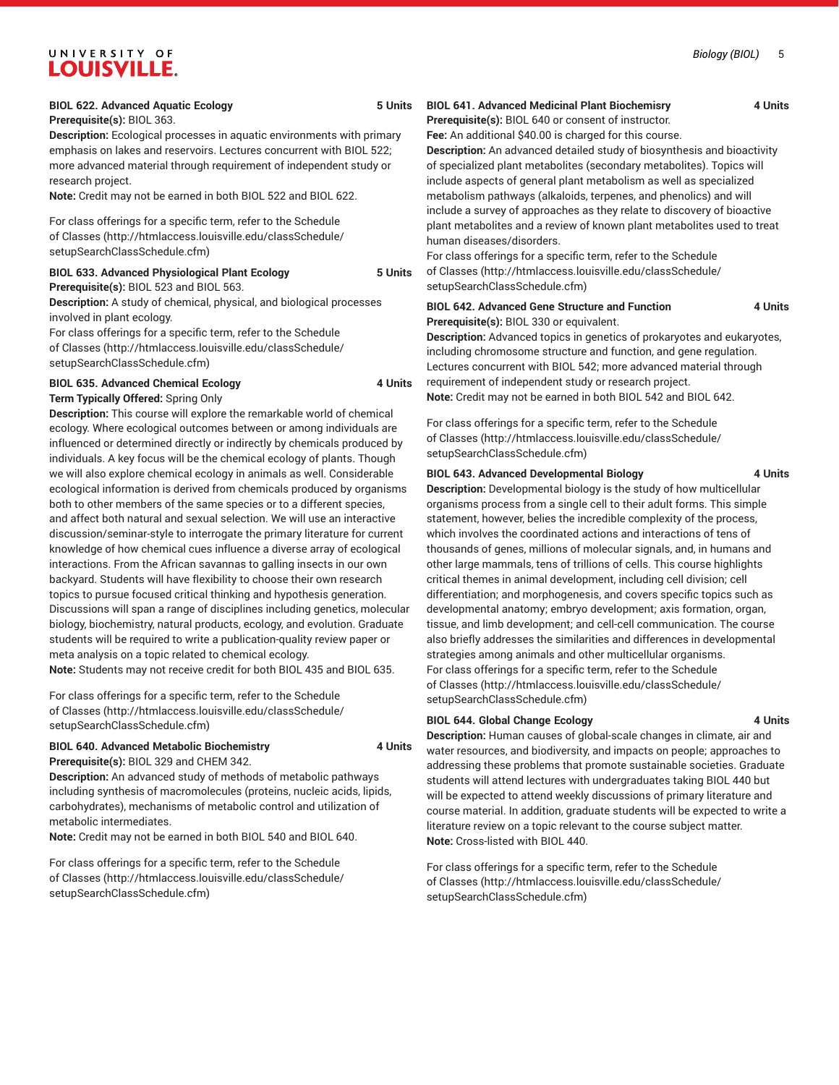#### **BIOL 622. Advanced Aquatic Ecology 5 Units**

**Prerequisite(s):** BIOL 363.

**Description:** Ecological processes in aquatic environments with primary emphasis on lakes and reservoirs. Lectures concurrent with BIOL 522; more advanced material through requirement of independent study or research project.

**Note:** Credit may not be earned in both BIOL 522 and BIOL 622.

For class offerings for a specific term, refer to the [Schedule](http://htmlaccess.louisville.edu/classSchedule/setupSearchClassSchedule.cfm) [of Classes \(http://htmlaccess.louisville.edu/classSchedule/](http://htmlaccess.louisville.edu/classSchedule/setupSearchClassSchedule.cfm) [setupSearchClassSchedule.cfm\)](http://htmlaccess.louisville.edu/classSchedule/setupSearchClassSchedule.cfm)

#### **BIOL 633. Advanced Physiological Plant Ecology 5 Units Prerequisite(s):** BIOL 523 and BIOL 563.

**Description:** A study of chemical, physical, and biological processes involved in plant ecology.

For class offerings for a specific term, refer to the [Schedule](http://htmlaccess.louisville.edu/classSchedule/setupSearchClassSchedule.cfm) [of Classes \(http://htmlaccess.louisville.edu/classSchedule/](http://htmlaccess.louisville.edu/classSchedule/setupSearchClassSchedule.cfm) [setupSearchClassSchedule.cfm\)](http://htmlaccess.louisville.edu/classSchedule/setupSearchClassSchedule.cfm)

#### **BIOL 635. Advanced Chemical Ecology 4 Units Term Typically Offered:** Spring Only

**Description:** This course will explore the remarkable world of chemical ecology. Where ecological outcomes between or among individuals are influenced or determined directly or indirectly by chemicals produced by individuals. A key focus will be the chemical ecology of plants. Though we will also explore chemical ecology in animals as well. Considerable ecological information is derived from chemicals produced by organisms both to other members of the same species or to a different species, and affect both natural and sexual selection. We will use an interactive discussion/seminar-style to interrogate the primary literature for current knowledge of how chemical cues influence a diverse array of ecological interactions. From the African savannas to galling insects in our own backyard. Students will have flexibility to choose their own research topics to pursue focused critical thinking and hypothesis generation. Discussions will span a range of disciplines including genetics, molecular biology, biochemistry, natural products, ecology, and evolution. Graduate students will be required to write a publication-quality review paper or meta analysis on a topic related to chemical ecology. **Note:** Students may not receive credit for both BIOL 435 and BIOL 635.

For class offerings for a specific term, refer to the [Schedule](http://htmlaccess.louisville.edu/classSchedule/setupSearchClassSchedule.cfm) [of Classes \(http://htmlaccess.louisville.edu/classSchedule/](http://htmlaccess.louisville.edu/classSchedule/setupSearchClassSchedule.cfm) [setupSearchClassSchedule.cfm\)](http://htmlaccess.louisville.edu/classSchedule/setupSearchClassSchedule.cfm)

#### **BIOL 640. Advanced Metabolic Biochemistry 4 Units Prerequisite(s):** BIOL 329 and CHEM 342.

**Description:** An advanced study of methods of metabolic pathways including synthesis of macromolecules (proteins, nucleic acids, lipids,

carbohydrates), mechanisms of metabolic control and utilization of metabolic intermediates.

**Note:** Credit may not be earned in both BIOL 540 and BIOL 640.

For class offerings for a specific term, refer to the [Schedule](http://htmlaccess.louisville.edu/classSchedule/setupSearchClassSchedule.cfm) [of Classes \(http://htmlaccess.louisville.edu/classSchedule/](http://htmlaccess.louisville.edu/classSchedule/setupSearchClassSchedule.cfm) [setupSearchClassSchedule.cfm\)](http://htmlaccess.louisville.edu/classSchedule/setupSearchClassSchedule.cfm)

#### **BIOL 641. Advanced Medicinal Plant Biochemisry 4 Units Prerequisite(s):** BIOL 640 or consent of instructor.

**Fee:** An additional \$40.00 is charged for this course.

**Description:** An advanced detailed study of biosynthesis and bioactivity of specialized plant metabolites (secondary metabolites). Topics will include aspects of general plant metabolism as well as specialized metabolism pathways (alkaloids, terpenes, and phenolics) and will include a survey of approaches as they relate to discovery of bioactive plant metabolites and a review of known plant metabolites used to treat human diseases/disorders.

For class offerings for a specific term, refer to the [Schedule](http://htmlaccess.louisville.edu/classSchedule/setupSearchClassSchedule.cfm) [of Classes](http://htmlaccess.louisville.edu/classSchedule/setupSearchClassSchedule.cfm) ([http://htmlaccess.louisville.edu/classSchedule/](http://htmlaccess.louisville.edu/classSchedule/setupSearchClassSchedule.cfm) [setupSearchClassSchedule.cfm\)](http://htmlaccess.louisville.edu/classSchedule/setupSearchClassSchedule.cfm)

| <b>BIOL 642. Advanced Gene Structure and Function</b>                          | 4 Units |
|--------------------------------------------------------------------------------|---------|
| Prerequisite(s): BIOL 330 or equivalent.                                       |         |
| <b>Description:</b> Advanced topics in genetics of prokaryotes and eukaryotes, |         |
| including chromosome structure and function, and gene regulation.              |         |
|                                                                                |         |

Lectures concurrent with BIOL 542; more advanced material through requirement of independent study or research project. **Note:** Credit may not be earned in both BIOL 542 and BIOL 642.

For class offerings for a specific term, refer to the [Schedule](http://htmlaccess.louisville.edu/classSchedule/setupSearchClassSchedule.cfm) [of Classes](http://htmlaccess.louisville.edu/classSchedule/setupSearchClassSchedule.cfm) ([http://htmlaccess.louisville.edu/classSchedule/](http://htmlaccess.louisville.edu/classSchedule/setupSearchClassSchedule.cfm) [setupSearchClassSchedule.cfm\)](http://htmlaccess.louisville.edu/classSchedule/setupSearchClassSchedule.cfm)

### **BIOL 643. Advanced Developmental Biology 4 Units**

**Description:** Developmental biology is the study of how multicellular organisms process from a single cell to their adult forms. This simple statement, however, belies the incredible complexity of the process, which involves the coordinated actions and interactions of tens of thousands of genes, millions of molecular signals, and, in humans and other large mammals, tens of trillions of cells. This course highlights critical themes in animal development, including cell division; cell differentiation; and morphogenesis, and covers specific topics such as developmental anatomy; embryo development; axis formation, organ, tissue, and limb development; and cell-cell communication. The course also briefly addresses the similarities and differences in developmental strategies among animals and other multicellular organisms. For class offerings for a specific term, refer to the [Schedule](http://htmlaccess.louisville.edu/classSchedule/setupSearchClassSchedule.cfm) [of Classes](http://htmlaccess.louisville.edu/classSchedule/setupSearchClassSchedule.cfm) ([http://htmlaccess.louisville.edu/classSchedule/](http://htmlaccess.louisville.edu/classSchedule/setupSearchClassSchedule.cfm) [setupSearchClassSchedule.cfm\)](http://htmlaccess.louisville.edu/classSchedule/setupSearchClassSchedule.cfm)

#### **BIOL 644. Global Change Ecology 4 Units**

**Description:** Human causes of global-scale changes in climate, air and water resources, and biodiversity, and impacts on people; approaches to addressing these problems that promote sustainable societies. Graduate students will attend lectures with undergraduates taking BIOL 440 but will be expected to attend weekly discussions of primary literature and course material. In addition, graduate students will be expected to write a literature review on a topic relevant to the course subject matter. **Note:** Cross-listed with BIOL 440.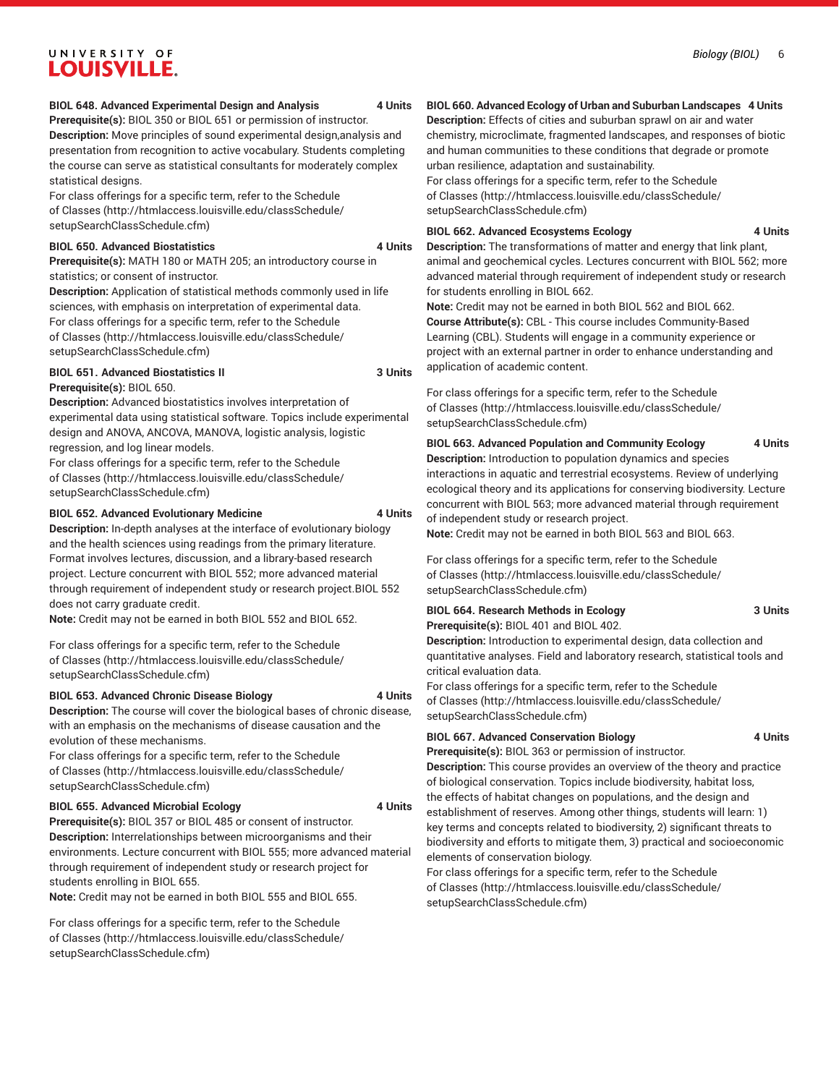#### *Biology (BIOL)* 6

## UNIVERSITY OF **LOUISVILLE.**

#### **BIOL 648. Advanced Experimental Design and Analysis 4 Units**

**Prerequisite(s):** BIOL 350 or BIOL 651 or permission of instructor. **Description:** Move principles of sound experimental design,analysis and presentation from recognition to active vocabulary. Students completing the course can serve as statistical consultants for moderately complex statistical designs.

For class offerings for a specific term, refer to the [Schedule](http://htmlaccess.louisville.edu/classSchedule/setupSearchClassSchedule.cfm) [of Classes \(http://htmlaccess.louisville.edu/classSchedule/](http://htmlaccess.louisville.edu/classSchedule/setupSearchClassSchedule.cfm) [setupSearchClassSchedule.cfm\)](http://htmlaccess.louisville.edu/classSchedule/setupSearchClassSchedule.cfm)

#### **BIOL 650. Advanced Biostatistics 4 Units**

**Prerequisite(s):** MATH 180 or MATH 205; an introductory course in statistics; or consent of instructor.

**Description:** Application of statistical methods commonly used in life sciences, with emphasis on interpretation of experimental data. For class offerings for a specific term, refer to the [Schedule](http://htmlaccess.louisville.edu/classSchedule/setupSearchClassSchedule.cfm) [of Classes \(http://htmlaccess.louisville.edu/classSchedule/](http://htmlaccess.louisville.edu/classSchedule/setupSearchClassSchedule.cfm) [setupSearchClassSchedule.cfm\)](http://htmlaccess.louisville.edu/classSchedule/setupSearchClassSchedule.cfm)

#### **BIOL 651. Advanced Biostatistics II 3 Units**

**Prerequisite(s):** BIOL 650.

**Description:** Advanced biostatistics involves interpretation of experimental data using statistical software. Topics include experimental design and ANOVA, ANCOVA, MANOVA, logistic analysis, logistic regression, and log linear models.

For class offerings for a specific term, refer to the [Schedule](http://htmlaccess.louisville.edu/classSchedule/setupSearchClassSchedule.cfm) [of Classes \(http://htmlaccess.louisville.edu/classSchedule/](http://htmlaccess.louisville.edu/classSchedule/setupSearchClassSchedule.cfm) [setupSearchClassSchedule.cfm\)](http://htmlaccess.louisville.edu/classSchedule/setupSearchClassSchedule.cfm)

#### **BIOL 652. Advanced Evolutionary Medicine 4 Units**

**Description:** In-depth analyses at the interface of evolutionary biology and the health sciences using readings from the primary literature. Format involves lectures, discussion, and a library-based research project. Lecture concurrent with BIOL 552; more advanced material through requirement of independent study or research project.BIOL 552 does not carry graduate credit.

**Note:** Credit may not be earned in both BIOL 552 and BIOL 652.

For class offerings for a specific term, refer to the [Schedule](http://htmlaccess.louisville.edu/classSchedule/setupSearchClassSchedule.cfm) [of Classes \(http://htmlaccess.louisville.edu/classSchedule/](http://htmlaccess.louisville.edu/classSchedule/setupSearchClassSchedule.cfm) [setupSearchClassSchedule.cfm\)](http://htmlaccess.louisville.edu/classSchedule/setupSearchClassSchedule.cfm)

#### **BIOL 653. Advanced Chronic Disease Biology 4 Units**

**Description:** The course will cover the biological bases of chronic disease, with an emphasis on the mechanisms of disease causation and the evolution of these mechanisms.

For class offerings for a specific term, refer to the [Schedule](http://htmlaccess.louisville.edu/classSchedule/setupSearchClassSchedule.cfm) [of Classes \(http://htmlaccess.louisville.edu/classSchedule/](http://htmlaccess.louisville.edu/classSchedule/setupSearchClassSchedule.cfm) [setupSearchClassSchedule.cfm\)](http://htmlaccess.louisville.edu/classSchedule/setupSearchClassSchedule.cfm)

#### **BIOL 655. Advanced Microbial Ecology 4 Units**

**Prerequisite(s):** BIOL 357 or BIOL 485 or consent of instructor. **Description:** Interrelationships between microorganisms and their environments. Lecture concurrent with BIOL 555; more advanced material through requirement of independent study or research project for students enrolling in BIOL 655.

**Note:** Credit may not be earned in both BIOL 555 and BIOL 655.

For class offerings for a specific term, refer to the [Schedule](http://htmlaccess.louisville.edu/classSchedule/setupSearchClassSchedule.cfm) [of Classes \(http://htmlaccess.louisville.edu/classSchedule/](http://htmlaccess.louisville.edu/classSchedule/setupSearchClassSchedule.cfm) [setupSearchClassSchedule.cfm\)](http://htmlaccess.louisville.edu/classSchedule/setupSearchClassSchedule.cfm)

#### **BIOL 660. Advanced Ecology of Urban and Suburban Landscapes 4 Units**

**Description:** Effects of cities and suburban sprawl on air and water chemistry, microclimate, fragmented landscapes, and responses of biotic and human communities to these conditions that degrade or promote urban resilience, adaptation and sustainability.

For class offerings for a specific term, refer to the [Schedule](http://htmlaccess.louisville.edu/classSchedule/setupSearchClassSchedule.cfm) [of Classes](http://htmlaccess.louisville.edu/classSchedule/setupSearchClassSchedule.cfm) ([http://htmlaccess.louisville.edu/classSchedule/](http://htmlaccess.louisville.edu/classSchedule/setupSearchClassSchedule.cfm) [setupSearchClassSchedule.cfm\)](http://htmlaccess.louisville.edu/classSchedule/setupSearchClassSchedule.cfm)

#### **BIOL 662. Advanced Ecosystems Ecology 4 Units**

**Description:** The transformations of matter and energy that link plant, animal and geochemical cycles. Lectures concurrent with BIOL 562; more advanced material through requirement of independent study or research for students enrolling in BIOL 662.

**Note:** Credit may not be earned in both BIOL 562 and BIOL 662. **Course Attribute(s):** CBL - This course includes Community-Based Learning (CBL). Students will engage in a community experience or project with an external partner in order to enhance understanding and application of academic content.

For class offerings for a specific term, refer to the [Schedule](http://htmlaccess.louisville.edu/classSchedule/setupSearchClassSchedule.cfm) [of Classes](http://htmlaccess.louisville.edu/classSchedule/setupSearchClassSchedule.cfm) ([http://htmlaccess.louisville.edu/classSchedule/](http://htmlaccess.louisville.edu/classSchedule/setupSearchClassSchedule.cfm) [setupSearchClassSchedule.cfm\)](http://htmlaccess.louisville.edu/classSchedule/setupSearchClassSchedule.cfm)

## **BIOL 663. Advanced Population and Community Ecology 4 Units**

**Description:** Introduction to population dynamics and species interactions in aquatic and terrestrial ecosystems. Review of underlying ecological theory and its applications for conserving biodiversity. Lecture concurrent with BIOL 563; more advanced material through requirement of independent study or research project.

**Note:** Credit may not be earned in both BIOL 563 and BIOL 663.

For class offerings for a specific term, refer to the [Schedule](http://htmlaccess.louisville.edu/classSchedule/setupSearchClassSchedule.cfm) [of Classes](http://htmlaccess.louisville.edu/classSchedule/setupSearchClassSchedule.cfm) ([http://htmlaccess.louisville.edu/classSchedule/](http://htmlaccess.louisville.edu/classSchedule/setupSearchClassSchedule.cfm) [setupSearchClassSchedule.cfm\)](http://htmlaccess.louisville.edu/classSchedule/setupSearchClassSchedule.cfm)

### **BIOL 664. Research Methods in Ecology 3 Units**

**Prerequisite(s):** BIOL 401 and BIOL 402.

**Description:** Introduction to experimental design, data collection and quantitative analyses. Field and laboratory research, statistical tools and critical evaluation data.

For class offerings for a specific term, refer to the [Schedule](http://htmlaccess.louisville.edu/classSchedule/setupSearchClassSchedule.cfm) [of Classes](http://htmlaccess.louisville.edu/classSchedule/setupSearchClassSchedule.cfm) ([http://htmlaccess.louisville.edu/classSchedule/](http://htmlaccess.louisville.edu/classSchedule/setupSearchClassSchedule.cfm) [setupSearchClassSchedule.cfm\)](http://htmlaccess.louisville.edu/classSchedule/setupSearchClassSchedule.cfm)

#### **BIOL 667. Advanced Conservation Biology 4 Units**

**Prerequisite(s):** BIOL 363 or permission of instructor. **Description:** This course provides an overview of the theory and practice of biological conservation. Topics include biodiversity, habitat loss, the effects of habitat changes on populations, and the design and establishment of reserves. Among other things, students will learn: 1) key terms and concepts related to biodiversity, 2) significant threats to biodiversity and efforts to mitigate them, 3) practical and socioeconomic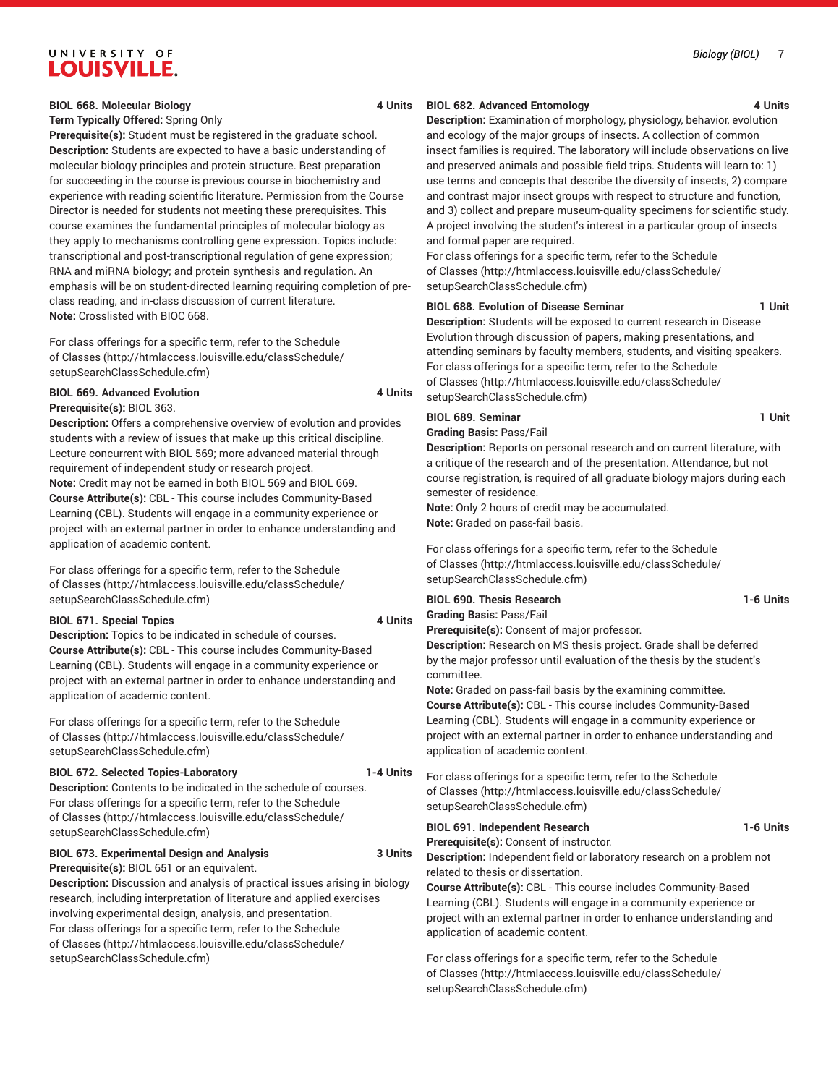#### **BIOL 668. Molecular Biology 4 Units**

#### **Term Typically Offered:** Spring Only

**Prerequisite(s):** Student must be registered in the graduate school. **Description:** Students are expected to have a basic understanding of molecular biology principles and protein structure. Best preparation for succeeding in the course is previous course in biochemistry and experience with reading scientific literature. Permission from the Course Director is needed for students not meeting these prerequisites. This course examines the fundamental principles of molecular biology as they apply to mechanisms controlling gene expression. Topics include: transcriptional and post-transcriptional regulation of gene expression; RNA and miRNA biology; and protein synthesis and regulation. An emphasis will be on student-directed learning requiring completion of preclass reading, and in-class discussion of current literature. **Note:** Crosslisted with BIOC 668.

For class offerings for a specific term, refer to the [Schedule](http://htmlaccess.louisville.edu/classSchedule/setupSearchClassSchedule.cfm) [of Classes \(http://htmlaccess.louisville.edu/classSchedule/](http://htmlaccess.louisville.edu/classSchedule/setupSearchClassSchedule.cfm) [setupSearchClassSchedule.cfm\)](http://htmlaccess.louisville.edu/classSchedule/setupSearchClassSchedule.cfm)

## **BIOL 669. Advanced Evolution 4 Units**

**Prerequisite(s):** BIOL 363.

**Description:** Offers a comprehensive overview of evolution and provides students with a review of issues that make up this critical discipline. Lecture concurrent with BIOL 569; more advanced material through requirement of independent study or research project. **Note:** Credit may not be earned in both BIOL 569 and BIOL 669. **Course Attribute(s):** CBL - This course includes Community-Based Learning (CBL). Students will engage in a community experience or project with an external partner in order to enhance understanding and application of academic content.

For class offerings for a specific term, refer to the [Schedule](http://htmlaccess.louisville.edu/classSchedule/setupSearchClassSchedule.cfm) [of Classes \(http://htmlaccess.louisville.edu/classSchedule/](http://htmlaccess.louisville.edu/classSchedule/setupSearchClassSchedule.cfm) [setupSearchClassSchedule.cfm\)](http://htmlaccess.louisville.edu/classSchedule/setupSearchClassSchedule.cfm)

#### **BIOL 671. Special Topics 4 Units**

**Description:** Topics to be indicated in schedule of courses. **Course Attribute(s):** CBL - This course includes Community-Based Learning (CBL). Students will engage in a community experience or project with an external partner in order to enhance understanding and application of academic content.

For class offerings for a specific term, refer to the [Schedule](http://htmlaccess.louisville.edu/classSchedule/setupSearchClassSchedule.cfm) [of Classes \(http://htmlaccess.louisville.edu/classSchedule/](http://htmlaccess.louisville.edu/classSchedule/setupSearchClassSchedule.cfm) [setupSearchClassSchedule.cfm\)](http://htmlaccess.louisville.edu/classSchedule/setupSearchClassSchedule.cfm)

#### **BIOL 672. Selected Topics-Laboratory 1-4 Units**

**Description:** Contents to be indicated in the schedule of courses. For class offerings for a specific term, refer to the [Schedule](http://htmlaccess.louisville.edu/classSchedule/setupSearchClassSchedule.cfm) [of Classes \(http://htmlaccess.louisville.edu/classSchedule/](http://htmlaccess.louisville.edu/classSchedule/setupSearchClassSchedule.cfm) [setupSearchClassSchedule.cfm\)](http://htmlaccess.louisville.edu/classSchedule/setupSearchClassSchedule.cfm)

#### **BIOL 673. Experimental Design and Analysis 3 Units**

**Prerequisite(s):** BIOL 651 or an equivalent.

**Description:** Discussion and analysis of practical issues arising in biology research, including interpretation of literature and applied exercises involving experimental design, analysis, and presentation. For class offerings for a specific term, refer to the [Schedule](http://htmlaccess.louisville.edu/classSchedule/setupSearchClassSchedule.cfm) [of Classes \(http://htmlaccess.louisville.edu/classSchedule/](http://htmlaccess.louisville.edu/classSchedule/setupSearchClassSchedule.cfm) [setupSearchClassSchedule.cfm\)](http://htmlaccess.louisville.edu/classSchedule/setupSearchClassSchedule.cfm)

#### **BIOL 682. Advanced Entomology 4 Units**

**Description:** Examination of morphology, physiology, behavior, evolution and ecology of the major groups of insects. A collection of common insect families is required. The laboratory will include observations on live and preserved animals and possible field trips. Students will learn to: 1) use terms and concepts that describe the diversity of insects, 2) compare and contrast major insect groups with respect to structure and function, and 3) collect and prepare museum-quality specimens for scientific study. A project involving the student's interest in a particular group of insects and formal paper are required.

For class offerings for a specific term, refer to the [Schedule](http://htmlaccess.louisville.edu/classSchedule/setupSearchClassSchedule.cfm) [of Classes](http://htmlaccess.louisville.edu/classSchedule/setupSearchClassSchedule.cfm) ([http://htmlaccess.louisville.edu/classSchedule/](http://htmlaccess.louisville.edu/classSchedule/setupSearchClassSchedule.cfm) [setupSearchClassSchedule.cfm\)](http://htmlaccess.louisville.edu/classSchedule/setupSearchClassSchedule.cfm)

#### **BIOL 688. Evolution of Disease Seminar 1 Unit**

**Description:** Students will be exposed to current research in Disease Evolution through discussion of papers, making presentations, and attending seminars by faculty members, students, and visiting speakers. For class offerings for a specific term, refer to the [Schedule](http://htmlaccess.louisville.edu/classSchedule/setupSearchClassSchedule.cfm) [of Classes](http://htmlaccess.louisville.edu/classSchedule/setupSearchClassSchedule.cfm) ([http://htmlaccess.louisville.edu/classSchedule/](http://htmlaccess.louisville.edu/classSchedule/setupSearchClassSchedule.cfm) [setupSearchClassSchedule.cfm\)](http://htmlaccess.louisville.edu/classSchedule/setupSearchClassSchedule.cfm)

#### **BIOL 689. Seminar 1 Unit**

**Grading Basis:** Pass/Fail

**Description:** Reports on personal research and on current literature, with a critique of the research and of the presentation. Attendance, but not course registration, is required of all graduate biology majors during each semester of residence.

**Note:** Only 2 hours of credit may be accumulated. **Note:** Graded on pass-fail basis.

For class offerings for a specific term, refer to the [Schedule](http://htmlaccess.louisville.edu/classSchedule/setupSearchClassSchedule.cfm) [of Classes](http://htmlaccess.louisville.edu/classSchedule/setupSearchClassSchedule.cfm) ([http://htmlaccess.louisville.edu/classSchedule/](http://htmlaccess.louisville.edu/classSchedule/setupSearchClassSchedule.cfm) [setupSearchClassSchedule.cfm\)](http://htmlaccess.louisville.edu/classSchedule/setupSearchClassSchedule.cfm)

## **BIOL 690. Thesis Research 1-6 Units Grading Basis:** Pass/Fail

#### **Prerequisite(s):** Consent of major professor.

**Description:** Research on MS thesis project. Grade shall be deferred by the major professor until evaluation of the thesis by the student's committee.

**Note:** Graded on pass-fail basis by the examining committee. **Course Attribute(s):** CBL - This course includes Community-Based Learning (CBL). Students will engage in a community experience or project with an external partner in order to enhance understanding and application of academic content.

For class offerings for a specific term, refer to the [Schedule](http://htmlaccess.louisville.edu/classSchedule/setupSearchClassSchedule.cfm) [of Classes](http://htmlaccess.louisville.edu/classSchedule/setupSearchClassSchedule.cfm) ([http://htmlaccess.louisville.edu/classSchedule/](http://htmlaccess.louisville.edu/classSchedule/setupSearchClassSchedule.cfm) [setupSearchClassSchedule.cfm\)](http://htmlaccess.louisville.edu/classSchedule/setupSearchClassSchedule.cfm)

#### **BIOL 691. Independent Research 1-6 Units**

**Prerequisite(s):** Consent of instructor.

**Description:** Independent field or laboratory research on a problem not related to thesis or dissertation.

**Course Attribute(s):** CBL - This course includes Community-Based Learning (CBL). Students will engage in a community experience or project with an external partner in order to enhance understanding and application of academic content.